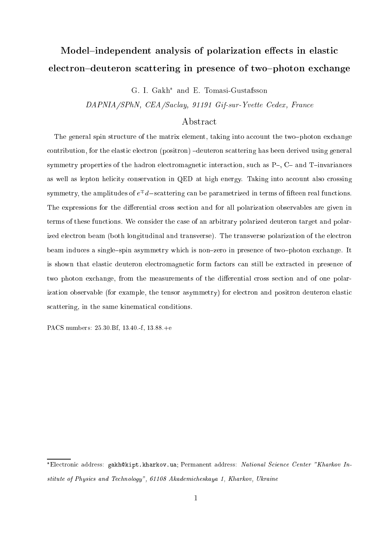# Model{independent analysis of polarization ee
ts in elasti ele
tron{deuteron s
attering in presen
e of two{photon ex
hange

G. I. Gakh and E. Tomasi-Gustafsson

DAPNIA/SPhN, CEA/Sa
lay, <sup>91191</sup> Gif-sur-Yvette Cedex, Fran
e

## Abstra
t

The general spin structure of the matrix element, taking into account the two-photon exchange contribution, for the elastic electron (positron) -deuteron scattering has been derived using general symmetry properties of the hadron electromagnetic interaction, such as  $P_{-}$ ,  $C_{-}$  and  $T_{-}$  invariances as well as lepton helicity conservation in QED at high energy. Taking into account also crossing  $s$ ymmetry, the amplitudes of  $e$   $a$  —scattering can be parametrized in terms of fitteen real functions. The expressions for the differential cross section and for all polarization observables are given in terms of these fun
tions. We onsider the ase of an arbitrary polarized deuteron target and polarized electron beam (both longitudinal and transverse). The transverse polarization of the electron beam induces a single-spin asymmetry which is non-zero in presence of two-photon exchange. It is shown that elastic deuteron electromagnetic form factors can still be extracted in presence of two photon exchange, from the measurements of the differential cross section and of one polarization observable (for example, the tensor asymmetry) for electron and positron deuteron elastic scattering, in the same kinematical conditions.

PACS numbers: 25.30.Bf, 13.40.-f, 13.88.+e

<sup>\*</sup>Electronic address: gakh@kipt.kharkov.ua; Permanent address: *National Science Center "Kharkov In*stitute of Physics and Technology", 61108 Akademicheskaya 1, Kharkov, Ukraine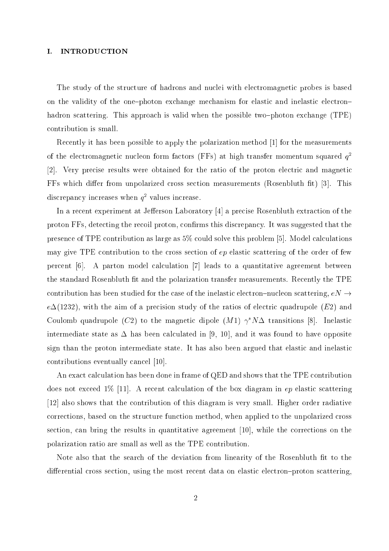## I. INTRODUCTION

The study of the structure of hadrons and nuclei with electromagnetic probes is based on the validity of the one-photon exchange mechanism for elastic and inelastic electronhadron scattering. This approach is valid when the possible two-photon exchange (TPE) ontribution is small.

Recently it has been possible to apply the polarization method [1] for the measurements of the electromagnetic nucleon form factors (r r s) at high transfer momentum squared  $q^\perp$ [2]. Very precise results were obtained for the ratio of the proton electric and magnetic FFs which differ from unpolarized cross section measurements (Rosenbluth fit) [3]. This  $\alpha$ iscrepancy increases when  $q^-$  values increase.

In a recent experiment at Jefferson Laboratory [4] a precise Rosenbluth extraction of the proton FFs, detecting the recoil proton, confirms this discrepancy. It was suggested that the presence of TPE contribution as large as  $5\%$  could solve this problem [5]. Model calculations may give TPE contribution to the cross section of  $ep$  elastic scattering of the order of few percent [6]. A parton model calculation [7] leads to a quantitative agreement between the standard Rosenbluth fit and the polarization transfer measurements. Recently the TPE contribution has been studied for the case of the inelastic electron-nucleon scattering,  $eN \rightarrow$  $e\Delta(1232)$ , with the aim of a precision study of the ratios of electric quadrupole (E2) and Coulomb quadrupole (C2) to the magnetic dipole  $(M1) \gamma^* N \Delta$  transitions [8]. Inelastic intermediate state as  $\Delta$  has been calculated in [9, 10], and it was found to have opposite sign than the proton intermediate state. It has also been argued that elastic and inelastic contributions eventually cancel [10].

An exact calculation has been done in frame of QED and shows that the TPE contribution does not exceed 1% [11]. A recent calculation of the box diagram in  $ep$  elastic scattering  $[12]$  also shows that the contribution of this diagram is very small. Higher order radiative orre
tions, based on the stru
ture fun
tion method, when applied to the unpolarized ross section, can bring the results in quantitative agreement [10], while the corrections on the polarization ratio are small as well as the TPE ontribution.

Note also that the search of the deviation from linearity of the Rosenbluth fit to the differential cross section, using the most recent data on elastic electron-proton scattering,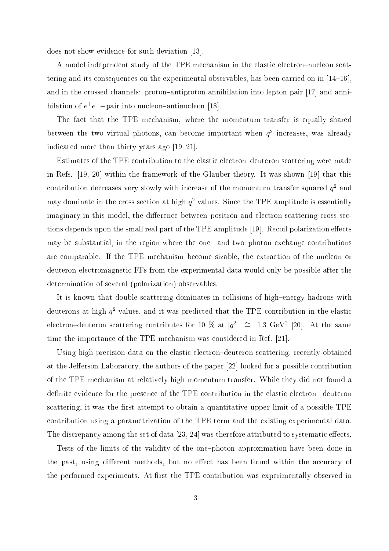does not show evidence for such deviation [13].

A model independent study of the TPE mechanism in the elastic electron-nucleon scattering and its consequences on the experimental observables, has been carried on in  $[14-16]$ , and in the crossed channels: proton-antiproton annihilation into lepton pair [17] and anni- $\min$ allon of  $e^+e^-$  —pair into nucleon—antinucleon [18].

The fact that the TPE mechanism, where the momentum transfer is equally shared between the two virtual photons, can become important when  $q^\star$  increases, was already indicated more than thirty years ago  $[19–21]$ .

Estimates of the TPE contribution to the elastic electron-deuteron scattering were made in Refs.  $[19, 20]$  within the framework of the Glauber theory. It was shown  $[19]$  that this contribution decreases very slowly with increase of the momentum transfer squared  $q^\perp$  and may dominate in the cross section at high  $q^\perp$  values. Since the TPE amplitude is essentially imaginary in this model, the difference between positron and electron scattering cross sections depends upon the small real part of the TPE amplitude [19]. Recoil polarization effects may be substantial, in the region where the one- and two-photon exchange contributions are omparable. If the TPE me
hanism be
ome sizable, the extra
tion of the nu
leon or deuteron ele
tromagneti FFs from the experimental data would only be possible after the determination of several (polarization) observables.

It is known that double scattering dominates in collisions of high-energy hadrons with  $\alpha$ euterons at high  $q$  –values, and it was predicted that the TPE contribution in the elastic electron-deuteron scattering contributes for 10 % at  $|q|$  = 1.3 GeV  $|20|$ . At the same time the importance of the TPE mechanism was considered in Ref. [21].

Using high precision data on the elastic electron-deuteron scattering, recently obtained at the Jefferson Laboratory, the authors of the paper [22] looked for a possible contribution of the TPE me
hanism at relatively high momentum transfer. While they did not found a definite evidence for the presence of the TPE contribution in the elastic electron -deuteron scattering, it was the first attempt to obtain a quantitative upper limit of a possible TPE ontribution using a parametrization of the TPE term and the existing experimental data. The discrepancy among the set of data  $[23, 24]$  was therefore attributed to systematic effects.

Tests of the limits of the validity of the one-photon approximation have been done in the past, using different methods, but no effect has been found within the accuracy of the performed experiments. At first the TPE contribution was experimentally observed in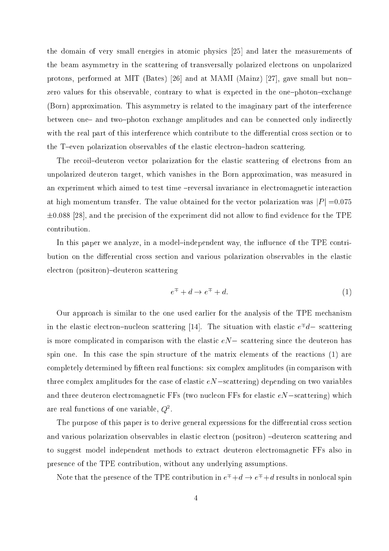the domain of very small energies in atomic physics  $[25]$  and later the measurements of the beam asymmetry in the s
attering of transversally polarized ele
trons on unpolarized protons, performed at MIT (Bates) [26] and at MAMI (Mainz) [27], gave small but nonzero values for this observable, contrary to what is expected in the one-photon-exchange (Born) approximation. This asymmetry is related to the imaginary part of the interferen
e between one- and two-photon exchange amplitudes and can be connected only indirectly with the real part of this interference which contribute to the differential cross section or to the T-even polarization observables of the elastic electron-hadron scattering.

The recoil-deuteron vector polarization for the elastic scattering of electrons from an unpolarized deuteron target, whi
h vanishes in the Born approximation, was measured in an experiment which aimed to test time -reversal invariance in electromagnetic interaction at high momentum transfer. The value obtained for the vector polarization was  $|P| = 0.075$  $\pm 0.088$  [28], and the precision of the experiment did not allow to find evidence for the TPE ontribution.

In this paper we analyze, in a model-independent way, the influence of the TPE contribution on the differential cross section and various polarization observables in the elastic electron (positron)-deuteron scattering

$$
e^{\mp} + d \rightarrow e^{\mp} + d. \tag{1}
$$

Our approa
h is similar to the one used earlier for the analysis of the TPE me
hanism In the elastic electron—nucleon scattering  $[14]$ . The situation with elastic  $e^+a$ — scattering is more complicated in comparison with the elastic  $eN-$  scattering since the deuteron has spin one. In this case the spin structure of the matrix elements of the reactions (1) are completely determined by fifteen real functions: six complex amplitudes (in comparison with three complex amplitudes for the case of elastic  $eN$  -scattering) depending on two variables and three deuteron electromagnetic FFs (two nucleon FFs for elastic  $eN$  –scattering) which are real functions of one variable,  $Q^-.$ 

The purpose of this paper is to derive general expressions for the differential cross section and various polarization observables in elastic electron (positron) -deuteron scattering and to suggest model independent methods to extract deuteron electromagnetic FFs also in presen
e of the TPE ontribution, without any underlying assumptions.

Note that the presence of the TPE contribution in  $e^{\mp} + d \rightarrow e^{\mp} + d$  results in nonlocal spin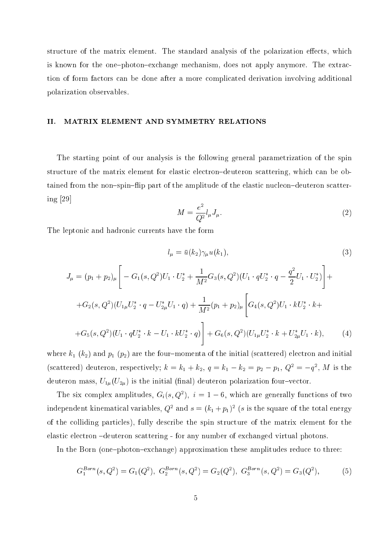structure of the matrix element. The standard analysis of the polarization effects, which is known for the one-photon-exchange mechanism, does not apply anymore. The extraction of form factors can be done after a more complicated derivation involving additional polarization observables.

## II. MATRIX ELEMENT AND SYMMETRY RELATIONS

The starting point of our analysis is the following general parametrization of the spin structure of the matrix element for elastic electron-deuteron scattering, which can be obtained from the non-spin-flip part of the amplitude of the elastic nucleon-deuteron scattering  $[29]$ 

$$
M = \frac{e^2}{Q^2} l_\mu J_\mu. \tag{2}
$$

The leptonic and hadronic currents have the form

$$
l_{\mu} = \bar{u}(k_2)\gamma_{\mu}u(k_1),
$$
\n
$$
J_{\mu} = (p_1 + p_2)_{\mu} \left[ -G_1(s, Q^2)U_1 \cdot U_2^* + \frac{1}{M^2} G_3(s, Q^2)(U_1 \cdot qU_2^* \cdot q - \frac{q^2}{2} U_1 \cdot U_2^*) \right] +
$$
\n
$$
+ G_2(s, Q^2)(U_{1\mu}U_2^* \cdot q - U_{2\mu}^*U_1 \cdot q) + \frac{1}{M^2}(p_1 + p_2)_{\mu} \left[ G_4(s, Q^2)U_1 \cdot kU_2^* \cdot k +
$$
\n
$$
+ G_5(s, Q^2)(U_1 \cdot qU_2^* \cdot k - U_1 \cdot kU_2^* \cdot q) \right] + G_6(s, Q^2)(U_{1\mu}U_2^* \cdot k + U_{2\mu}^*U_1 \cdot k),
$$
\n(4)

where  $k_1$  ( $k_2$ ) and  $p_1$  ( $p_2$ ) are the four-momenta of the initial (scattered) electron and initial (scattered) deuteron, respectively;  $\kappa = \kappa_1 + \kappa_2, \, q = \kappa_1 - \kappa_2 = p_2 - p_1, \, Q = -q$ , *M* is the deuteron mass,  $U_{1\mu}(U_{2\mu})$  is the initial (final) deuteron polarization four-vector.

The six complex amplitudes,  $G_i(s, Q^*)$ ,  $i = 1 - 6$ , which are generally functions of two independent kinematical variables,  $Q^{\perp}$  and  $s \equiv (\kappa_1 + p_1)^{\perp}$  (s is the square of the total energy of the olliding parti
les), fully des
ribe the spin stru
ture of the matrix element for the elastic electron  $-d$ euteron scattering - for any number of exchanged virtual photons.

In the Born (one-photon-exchange) approximation these amplitudes reduce to three:

$$
G_1^{Born}(s, Q^2) = G_1(Q^2), \ G_2^{Born}(s, Q^2) = G_2(Q^2), \ G_3^{Born}(s, Q^2) = G_3(Q^2), \tag{5}
$$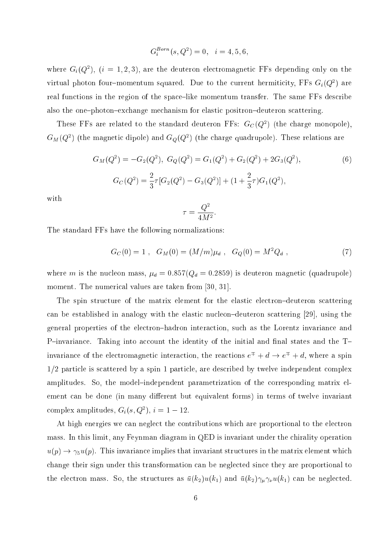$$
G_i^{Born}(s, Q^2) = 0, \quad i = 4, 5, 6,
$$

where  $G_i(Q^{\mu})$ ,  $\mu = 1, 2, 3$ ), are the deuteron electromagnetic **FFS** depending only on the virtual photon four—momentum squared. Due to the current hermiticity, FFs  $G_i(Q^\ast)$  are real functions in the region of the space-like momentum transfer. The same FFs describe also the one-photon-exchange mechanism for elastic positron-deuteron scattering.

These FFs are related to the standard deuteron FFs:  $G_{\mathcal{C}}(Q^+)$  (the charge monopole),  $G_M(Q^-)$  (the magnetic dipole) and  $G_Q(Q^-)$  (the charge quadrupole). These relations are

$$
G_M(Q^2) = -G_2(Q^2), \ G_Q(Q^2) = G_1(Q^2) + G_2(Q^2) + 2G_3(Q^2),
$$
\n
$$
G_C(Q^2) = \frac{2}{3}\tau[G_2(Q^2) - G_3(Q^2)] + (1 + \frac{2}{3}\tau)G_1(Q^2),
$$
\n(6)

with

$$
\tau = \frac{Q^2}{4M^2}
$$

The standard FFs have the following normalizations:

$$
G_C(0) = 1 \ , \ G_M(0) = (M/m)\mu_d \ , \ G_Q(0) = M^2 Q_d \ , \tag{7}
$$

where m is the nucleon mass,  $\mu_d = 0.857(Q_d = 0.2859)$  is deuteron magnetic (quadrupole) moment. The numerical values are taken from  $[30, 31]$ .

The spin structure of the matrix element for the elastic electron-deuteron scattering can be established in analogy with the elastic nucleon-deuteron scattering  $[29]$ , using the general properties of the ele
tron{hadron intera
tion, su
h as the Lorentz invarian
e and P-invariance. Taking into account the identity of the initial and final states and the Tinvariance of the electromagnetic interaction, the reactions  $e^{\mp} + d \rightarrow e^{\mp} + d$ , where a spin  $1/2$  particle is scattered by a spin 1 particle, are described by twelve independent complex amplitudes. So, the model-independent parametrization of the corresponding matrix element can be done (in many different but equivalent forms) in terms of twelve invariant complex amplitudes,  $G_i(s,Q^-), i = 1 - 12$ .

At high energies we an negle
t the ontributions whi
h are proportional to the ele
tron mass. In this limit, any Feynman diagram in QED is invariant under the hirality operation  $u(p) \to \gamma_5 u(p)$ . This invariance implies that invariant structures in the matrix element which change their sign under this transformation can be neglected since they are proportional to the electron mass. So, the structures as  $\bar{u}(k_2)u(k_1)$  and  $\bar{u}(k_2)\gamma_\mu\gamma_\nu u(k_1)$  can be neglected.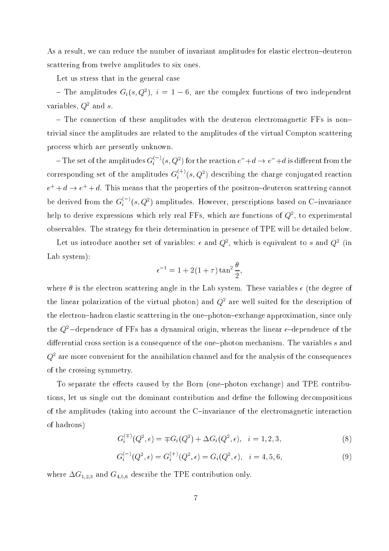As a result, we can reduce the number of invariant amplitudes for elastic electron-deuteron s
attering from twelve amplitudes to six ones.

Let us stress that in the general ase

 $=$  1 ne amplitudes  $G_i(s, Q^*), i = 1 - 6,$  are the complex functions of two independent variables,  $Q_2$  and s.

- The connection of these amplitudes with the deuteron electromagnetic FFs is nontrivial sin
e the amplitudes are related to the amplitudes of the virtual Compton s
attering pro
ess whi
h are presently unknown.

 $-$  The set of the amplitudes  $G_i^{\pm}$   $^{\prime}(s,Q^2)$  for the reaction  $e^-{+}d\rightarrow e^-{+}d$  is different from the corresponding set of the amplitudes  $G_i^{\vee\vee}(s,Q^2)$  describing the charge conjugated reaction  $e^+ + d \rightarrow e^+ + d$ . This means that the properties of the positron-deuteron scattering cannot be derived from the  $G_i^{\times}(s,Q^2)$  amplitudes. However, prescriptions based on C-invariance  $\min$  to derive expressions which rely real  $\Gamma$  is, which are functions of  $Q^-,$  to experimental observables. The strategy for their determination in presen
e of TPE will be detailed below.

Let us introduce another set of variables:  $\epsilon$  and  $Q^-,$  which is equivalent to  $s$  and  $Q^+$  (in Lab system):

$$
\epsilon^{-1} = 1 + 2(1+\tau)\tan^2\frac{\theta}{2},
$$

where  $\theta$  is the electron scattering angle in the Lab system. These variables  $\epsilon$  (the degree of the linear polarization of the virtual photon) and  $Q^\star$  are well suited for the description of the electron-hadron elastic scattering in the one-photon-exchange approximation, since only the  $Q^2$ -dependence of FFs has a dynamical origin, whereas the linear  $\epsilon$ -dependence of the differential cross section is a consequence of the one-photon mechanism. The variables  $s$  and  $Q^\star$  are more convenient for the annihilation channel and for the analysis of the consequences of the rossing symmetry.

To separate the effects caused by the Born (one-photon exchange) and TPE contributions, let us single out the dominant contribution and define the following decompositions of the amplitudes (taking into account the C-invariance of the electromagnetic interaction of hadrons)

$$
G_i^{(\mp)}(Q^2, \epsilon) = \mp G_i(Q^2) + \Delta G_i(Q^2, \epsilon), \quad i = 1, 2, 3,
$$
\n(8)

$$
G_i^{(-)}(Q^2, \epsilon) = G_i^{(+)}(Q^2, \epsilon) = G_i(Q^2, \epsilon), \quad i = 4, 5, 6,
$$
\n(9)

where  $\Delta G_{1,2,3}$  and  $G_{4,5,6}$  describe the TPE contribution only.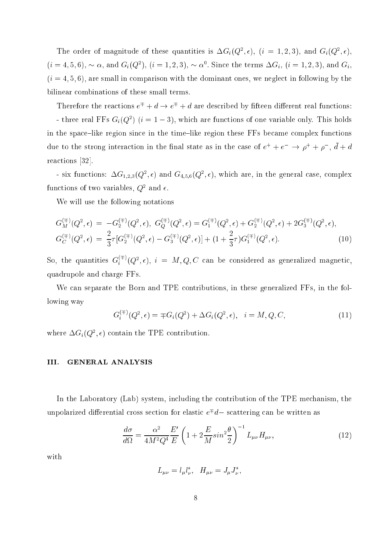The order of magnitude of these quantities is  $\Delta G_i(Q^-, \epsilon)$ ,  $(i = 1, 2, 3)$ , and  $G_i(Q^-, \epsilon)$ ,  $(i = 4, 5, 6)$ ,  $\sim \alpha$ , and  $G_i(Q^{\dagger})$ ,  $(i = 1, 2, 3)$ ,  $\sim \alpha^{\dagger}$ . Since the terms  $\Delta G_i$ ,  $(i = 1, 2, 3)$ , and  $G_i$ ,  $(i = 4, 5, 6)$ , are small in comparison with the dominant ones, we neglect in following by the bilinear ombinations of these small terms.

Therefore the reactions  $e^{\mp} + d \rightarrow e^{\mp} + d$  are described by fifteen different real functions: - three real **FFs**  $G_i(Q_+)$  ( $i=1-\mathfrak{d}$ ), which are functions of one variable only. This holds in the space-like region since in the time-like region these FFs became complex functions due to the strong interaction in the linal state as in the case of  $e^+ + e^- \rightarrow \rho^+ + \rho^-$ ,  $a + a$ reactions [32].

- six functions:  $\Delta G_{1,2,3}(Q^*,\epsilon)$  and  $G_{4,5,6}(Q^*,\epsilon)$ , which are, in the general case, complex runctions of two variables,  $Q^-$  and  $\epsilon.$ 

We will use the following notations

$$
G_M^{(\mp)}(Q^2, \epsilon) = -G_2^{(\mp)}(Q^2, \epsilon), \ G_Q^{(\mp)}(Q^2, \epsilon) = G_1^{(\mp)}(Q^2, \epsilon) + G_2^{(\mp)}(Q^2, \epsilon) + 2G_3^{(\mp)}(Q^2, \epsilon),
$$
  
\n
$$
G_C^{(\mp)}(Q^2, \epsilon) = \frac{2}{3}\tau [G_2^{(\mp)}(Q^2, \epsilon) - G_3^{(\mp)}(Q^2, \epsilon)] + (1 + \frac{2}{3}\tau)G_1^{(\mp)}(Q^2, \epsilon). \tag{10}
$$

So, the quantities  $G_i^{++}(Q^2,\epsilon),\;i\;=\;M,Q,C$  can be considered as generalized magnetic, quadrupole and harge FFs.

We can separate the Born and TPE contributions, in these generalized FFs, in the following way

$$
G_i^{(\mp)}(Q^2, \epsilon) = \mp G_i(Q^2) + \Delta G_i(Q^2, \epsilon), \quad i = M, Q, C,
$$
\n(11)

where  $\Delta G_i(Q^2, \epsilon)$  contain the TPE contribution.

## III. GENERAL ANALYSIS

In the Laboratory (Lab) system, including the contribution of the TPE mechanism, the unpolarized differential cross section for elastic  $e^{\,\cdot}\,a-$  scattering can be written as

$$
\frac{d\sigma}{d\Omega} = \frac{\alpha^2}{4M^2Q^4} \frac{E'}{E} \left(1 + 2\frac{E}{M}\sin^2\frac{\theta}{2}\right)^{-1} L_{\mu\nu} H_{\mu\nu},\tag{12}
$$

with

$$
L_{\mu\nu}=l_{\mu}l_{\nu}^*,\ \ H_{\mu\nu}=J_{\mu}J_{\nu}^*,
$$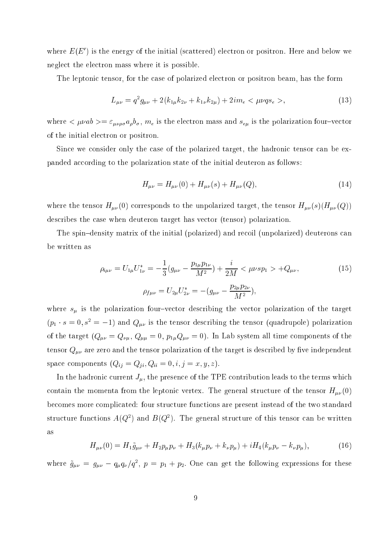where  $E(E_\parallel)$  is the energy of the initial (scattered) electron or positron. Here and below we neglect the electron mass where it is possible.

The leptonic tensor, for the case of polarized electron or positron beam, has the form

$$
L_{\mu\nu} = q^2 g_{\mu\nu} + 2(k_{1\mu} k_{2\nu} + k_{1\nu} k_{2\mu}) + 2im_e < \mu\nu q s_e >,
$$
\n(13)

where  $\langle \mu\nu ab \rangle = \varepsilon_{\mu\nu\rho\sigma} a_{\rho} b_{\sigma}, m_e$  is the electron mass and  $s_{e\mu}$  is the polarization four-vector of the initial ele
tron or positron.

Since we consider only the case of the polarized target, the hadronic tensor can be expanded according to the polarization state of the initial deuteron as follows:

$$
H_{\mu\nu} = H_{\mu\nu}(0) + H_{\mu\nu}(s) + H_{\mu\nu}(Q), \tag{14}
$$

where the tensor  $H_{\mu\nu}(0)$  corresponds to the unpolarized target, the tensor  $H_{\mu\nu}(s)(H_{\mu\nu}(Q))$ des
ribes the ase when deuteron target has ve
tor (tensor) polarization.

The spin-density matrix of the initial (polarized) and recoil (unpolarized) deuterons can be written as

$$
\rho_{i\mu\nu} = U_{1\mu} U_{1\nu}^* = -\frac{1}{3} (g_{\mu\nu} - \frac{p_{1\mu} p_{1\nu}}{M^2}) + \frac{i}{2M} < \mu \nu s p_1 > +Q_{\mu\nu},
$$
  
\n
$$
\rho_{f\mu\nu} = U_{2\mu} U_{2\nu}^* = -(g_{\mu\nu} - \frac{p_{2\mu} p_{2\nu}}{M^2}),
$$
\n(15)

where  $s_{\mu}$  is the polarization four-vector describing the vector polarization of the target  $(p_1 \cdot s = 0, s^2 = -1)$  and  $Q_{\mu\nu}$  is the tensor describing the tensor (quadrupole) polarization of the target  $(Q_{\mu\nu} = Q_{\nu\mu}, Q_{\mu\mu} = 0, p_{1\mu}Q_{\mu\nu} = 0)$ . In Lab system all time components of the tensor  $Q_{\mu\nu}$  are zero and the tensor polarization of the target is described by five independent space components  $(Q_{ij} = Q_{ji}, Q_{ii} = 0, i, j = x, y, z)$ .

In the hadronic current  $J_{\mu}$ , the presence of the TPE contribution leads to the terms which contain the momenta from the leptonic vertex. The general structure of the tensor  $H_{\mu\nu}(0)$ be
omes more ompli
ated: four stru
ture fun
tions are present instead of the two standard structure functions  $A(Q_+)$  and  $B(Q_-)$ . The general structure of this tensor can be written as

$$
H_{\mu\nu}(0) = H_1 \tilde{g}_{\mu\nu} + H_2 p_\mu p_\nu + H_3 (k_\mu p_\nu + k_\nu p_\mu) + i H_4 (k_\mu p_\nu - k_\nu p_\mu), \tag{16}
$$

where  $g_{\mu\nu} = g_{\mu\nu} - q_{\mu}q_{\nu}/q^2$ ,  $p = p_1 + p_2$ . One can get the following expressions for these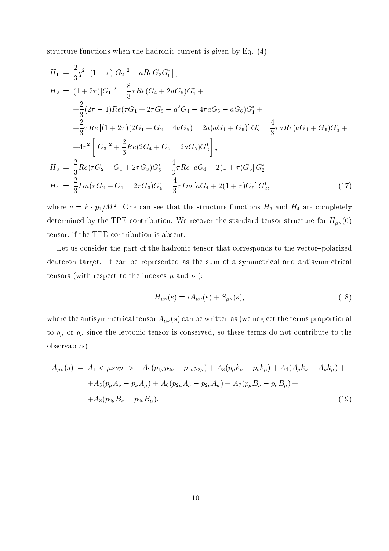structure functions when the hadronic current is given by Eq.  $(4)$ :

$$
H_{1} = \frac{2}{3}q^{2} \left[ (1+\tau)|G_{2}|^{2} - aReG_{2}G_{6}^{*} \right],
$$
  
\n
$$
H_{2} = (1+2\tau)|G_{1}|^{2} - \frac{8}{3}\tau Re(G_{4} + 2aG_{5})G_{1}^{*} +
$$
  
\n
$$
+ \frac{2}{3}(2\tau - 1)Re(\tau G_{1} + 2\tau G_{3} - a^{2}G_{4} - 4\tau aG_{5} - aG_{6})G_{1}^{*} +
$$
  
\n
$$
+ \frac{2}{3}\tau Re\left[ (1+2\tau)(2G_{1} + G_{2} - 4aG_{5}) - 2a(aG_{4} + G_{6}) \right]G_{2}^{*} - \frac{4}{3}\tau aRe(aG_{4} + G_{6})G_{3}^{*} +
$$
  
\n
$$
+ 4\tau^{2} \left[ |G_{3}|^{2} + \frac{2}{3}Re(2G_{4} + G_{2} - 2aG_{5})G_{3}^{*} \right],
$$
  
\n
$$
H_{3} = \frac{2}{3}Re(\tau G_{2} - G_{1} + 2\tau G_{3})G_{6}^{*} + \frac{4}{3}\tau Re[aG_{4} + 2(1+\tau)G_{5}]G_{2}^{*},
$$
  
\n
$$
H_{4} = \frac{2}{3}Im(\tau G_{2} + G_{1} - 2\tau G_{3})G_{6}^{*} - \frac{4}{3}\tau Im[aG_{4} + 2(1+\tau)G_{5}]G_{2}^{*},
$$
  
\n(17)

where  $a = \kappa \cdot p_1/m$ . One can see that the structure functions  $H_3$  and  $H_4$  are completely determined by the TPE contribution. We recover the standard tensor structure for  $H_{\mu\nu}(0)$ tensor, if the TPE ontribution is absent.

Let us consider the part of the hadronic tensor that corresponds to the vector-polarized deuteron target. It can be represented as the sum of a symmetrical and antisymmetrical tensors (with respect to the indexes  $\mu$  and  $\nu$ ):

$$
H_{\mu\nu}(s) = iA_{\mu\nu}(s) + S_{\mu\nu}(s),\tag{18}
$$

where the antisymmetrical tensor  $A_{\mu\nu}(s)$  can be written as (we neglect the terms proportional to  $q_{\mu}$  or  $q_{\nu}$  since the leptonic tensor is conserved, so these terms do not contribute to the observables)

$$
A_{\mu\nu}(s) = A_1 < \mu \nu s p_1 > + A_2 (p_{1\mu} p_{2\nu} - p_{1\nu} p_{2\mu}) + A_3 (p_\mu k_\nu - p_\nu k_\mu) + A_4 (A_\mu k_\nu - A_\nu k_\mu) ++ A_5 (p_\mu A_\nu - p_\nu A_\mu) + A_6 (p_{2\mu} A_\nu - p_{2\nu} A_\mu) + A_7 (p_\mu B_\nu - p_\nu B_\mu) ++ A_8 (p_{2\mu} B_\nu - p_{2\nu} B_\mu), \tag{19}
$$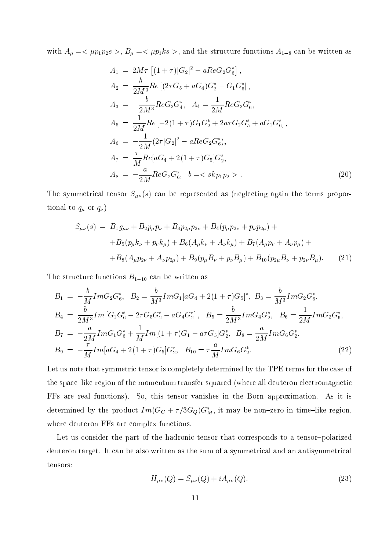with  $A_{\mu} = \langle \mu p_1 p_2 s \rangle$ ,  $B_{\mu} = \langle \mu p_1 k s \rangle$ , and the structure functions  $A_{1-8}$  can be written as

$$
A_1 = 2M\tau \left[ (1+\tau)|G_2|^2 - aReG_2G_6^* \right],
$$
  
\n
$$
A_2 = \frac{b}{2M^3}Re \left[ (2\tau G_5 + aG_4)G_2^* - G_1G_6^* \right],
$$
  
\n
$$
A_3 = -\frac{b}{2M^3}ReG_2G_4^*, \quad A_4 = \frac{1}{2M}ReG_2G_6^*,
$$
  
\n
$$
A_5 = \frac{1}{2M}Re \left[ -2(1+\tau)G_1G_2^* + 2a\tau G_2G_5^* + aG_1G_6^* \right],
$$
  
\n
$$
A_6 = -\frac{1}{2M}(2\tau|G_2|^2 - aReG_2G_6^*),
$$
  
\n
$$
A_7 = \frac{\tau}{M}Re[aG_4 + 2(1+\tau)G_5]G_2^*,
$$
  
\n
$$
A_8 = -\frac{a}{2M}ReG_2G_6^*, \quad b = \langle \; shp_1p_2 \; \rangle.
$$
\n(20)

The symmetrical tensor  $S_{\mu\nu}(s)$  can be represented as (neglecting again the terms proportional to  $q_{\mu}$  or  $q_{\nu}$ )

$$
S_{\mu\nu}(s) = B_1 g_{\mu\nu} + B_2 p_{\mu} p_{\nu} + B_3 p_{2\mu} p_{2\nu} + B_4 (p_{\mu} p_{2\nu} + p_{\nu} p_{2\mu}) ++ B_5 (p_{\mu} k_{\nu} + p_{\nu} k_{\mu}) + B_6 (A_{\mu} k_{\nu} + A_{\nu} k_{\mu}) + B_7 (A_{\mu} p_{\nu} + A_{\nu} p_{\mu}) ++ B_8 (A_{\mu} p_{2\nu} + A_{\nu} p_{2\mu}) + B_9 (p_{\mu} B_{\nu} + p_{\nu} B_{\mu}) + B_{10} (p_{2\mu} B_{\nu} + p_{2\nu} B_{\mu}). \tag{21}
$$

The structure functions  $B_{1-10}$  can be written as

$$
B_1 = -\frac{b}{M} Im G_2 G_6^*, \quad B_2 = \frac{b}{M^3} Im G_1 [aG_4 + 2(1 + \tau)G_5]^*, \quad B_3 = \frac{b}{M^3} Im G_2 G_6^*,
$$
  
\n
$$
B_4 = \frac{b}{2M^3} Im [G_1 G_6^* - 2\tau G_5 G_2^* - aG_4 G_2^*], \quad B_5 = \frac{b}{2M^3} Im G_4 G_2^*, \quad B_6 = \frac{1}{2M} Im G_2 G_6^*,
$$
  
\n
$$
B_7 = -\frac{a}{2M} Im G_1 G_6^* + \frac{1}{M} Im [(1 + \tau)G_1 - a\tau G_5] G_2^*, \quad B_8 = \frac{a}{2M} Im G_6 G_2^*,
$$
  
\n
$$
B_9 = -\frac{\tau}{M} Im [aG_4 + 2(1 + \tau)G_5] G_2^*, \quad B_{10} = \tau \frac{a}{M} Im G_6 G_2^*.
$$
\n(22)

Let us note that symmetric tensor is completely determined by the TPE terms for the case of the space-like region of the momentum transfer squared (where all deuteron electromagnetic FFs are real fun
tions). So, this tensor vanishes in the Born approximation. As it is determined by the product  $Im(G_C + \tau/3G_Q)G_M$ , it may be non-zero in time-like region, where deuteron FFs are complex functions.

Let us consider the part of the hadronic tensor that corresponds to a tensor-polarized deuteron target. It can be also written as the sum of a symmetrical and an antisymmetrical tensors:

$$
H_{\mu\nu}(Q) = S_{\mu\nu}(Q) + iA_{\mu\nu}(Q). \tag{23}
$$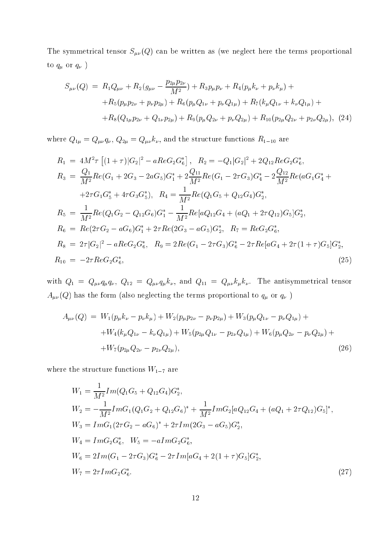The symmetrical tensor  $S_{\mu\nu}(Q)$  can be written as (we neglect here the terms proportional to  $q_\mu$  or  $q_\nu$  )

$$
S_{\mu\nu}(Q) = R_1 Q_{\mu\nu} + R_2 (g_{\mu\nu} - \frac{p_{2\mu} p_{2\nu}}{M^2}) + R_3 p_{\mu} p_{\nu} + R_4 (p_{\mu} k_{\nu} + p_{\nu} k_{\mu}) ++ R_5 (p_{\mu} p_{2\nu} + p_{\nu} p_{2\mu}) + R_6 (p_{\mu} Q_{1\nu} + p_{\nu} Q_{1\mu}) + R_7 (k_{\mu} Q_{1\nu} + k_{\nu} Q_{1\mu}) ++ R_8 (Q_{1\mu} p_{2\nu} + Q_{1\nu} p_{2\mu}) + R_9 (p_{\mu} Q_{2\nu} + p_{\nu} Q_{2\mu}) + R_{10} (p_{2\mu} Q_{2\nu} + p_{2\nu} Q_{2\mu}), (24)
$$

where  $Q_{1\mu} = Q_{\mu\nu}q_{\nu}$ ,  $Q_{2\mu} = Q_{\mu\nu}k_{\nu}$ , and the structure functions  $R_{1-10}$  are

$$
R_1 = 4M^2 \tau \left[ (1+\tau) |G_2|^2 - aReG_2 G_6^* \right], \quad R_2 = -Q_1 |G_2|^2 + 2Q_{12} ReG_2 G_6^*,
$$
\n
$$
R_3 = \frac{Q_1}{M^2} Re(G_1 + 2G_3 - 2aG_5) G_1^* + 2 \frac{Q_{11}}{M^2} Re(G_1 - 2\tau G_3) G_4^* - 2 \frac{Q_{12}}{M^2} Re(aG_1 G_4^* + 2\tau G_1 G_5^* + 4\tau G_3 G_5^*), \quad R_4 = \frac{1}{M^2} Re(Q_1 G_5 + Q_{12} G_4) G_2^*,
$$
\n
$$
R_5 = \frac{1}{M^2} Re(Q_1 G_2 - Q_{12} G_6) G_1^* - \frac{1}{M^2} Re[aQ_{12} G_4 + (aQ_1 + 2\tau Q_{12}) G_5] G_2^*,
$$
\n
$$
R_6 = Re(2\tau G_2 - aG_6) G_1^* + 2\tau Re(2G_3 - aG_5) G_2^*, \quad R_7 = ReG_2 G_6^*,
$$
\n
$$
R_8 = 2\tau |G_2|^2 - aReG_2 G_6^*, \quad R_9 = 2Re(G_1 - 2\tau G_3) G_6^* - 2\tau Re[aG_4 + 2\tau (1 + \tau) G_5] G_2^*,
$$
\n
$$
R_{10} = -2\tau ReG_2 G_6^*, \quad (25)
$$

with  $Q_1 = Q_{\mu\nu} q_{\mu} q_{\nu}$ ,  $Q_{12} = Q_{\mu\nu} q_{\mu} k_{\nu}$ , and  $Q_{11} = Q_{\mu\nu} k_{\mu} k_{\nu}$ . The antisymmetrical tensor  $A_{\mu\nu}(Q)$  has the form (also neglecting the terms proportional to  $q_\mu$  or  $q_\nu$  )

$$
A_{\mu\nu}(Q) = W_1(p_{\mu}k_{\nu} - p_{\nu}k_{\mu}) + W_2(p_{\mu}p_{2\nu} - p_{\nu}p_{2\mu}) + W_3(p_{\mu}Q_{1\nu} - p_{\nu}Q_{1\mu}) ++ W_4(k_{\mu}Q_{1\nu} - k_{\nu}Q_{1\mu}) + W_5(p_{2\mu}Q_{1\nu} - p_{2\nu}Q_{1\mu}) + W_6(p_{\mu}Q_{2\nu} - p_{\nu}Q_{2\mu}) ++ W_7(p_{2\mu}Q_{2\nu} - p_{2\nu}Q_{2\mu}),
$$
\n(26)

where the structure functions  $W_{1-7}$  are

$$
W_1 = \frac{1}{M^2} Im(Q_1G_5 + Q_{12}G_4)G_2^*,
$$
  
\n
$$
W_2 = -\frac{1}{M^2} ImG_1(Q_1G_2 + Q_{12}G_6)^* + \frac{1}{M^2} ImG_2[aQ_{12}G_4 + (aQ_1 + 2\tau Q_{12})G_5]^*,
$$
  
\n
$$
W_3 = ImG_1(2\tau G_2 - aG_6)^* + 2\tau Im(2G_3 - aG_5)G_2^*,
$$
  
\n
$$
W_4 = ImG_2G_6^*, \quad W_5 = -aImG_2G_6^*,
$$
  
\n
$$
W_6 = 2Im(G_1 - 2\tau G_3)G_6^* - 2\tau Im[aG_4 + 2(1 + \tau)G_5]G_2^*,
$$
  
\n
$$
W_7 = 2\tau ImG_2G_6^*.
$$
\n(27)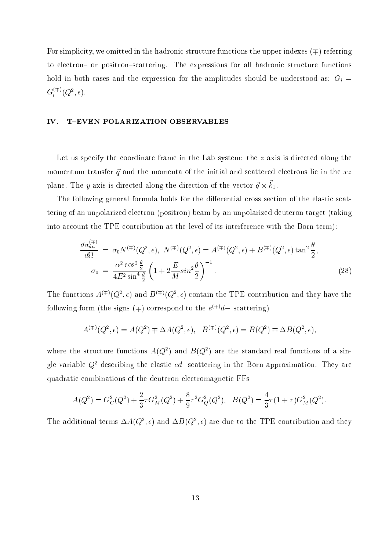For simplicity, we omitted in the hadronic structure functions the upper indexes  $($  $\pm)$  referring to electron- or positron-scattering. The expressions for all hadronic structure functions hold in both cases and the expression for the amplitudes should be understood as:  $G_i$  =  $G_i^{\leftrightarrow\leftrightarrow}(Q^2,\epsilon).$ 

## IV. T-EVEN POLARIZATION OBSERVABLES

Let us specify the coordinate frame in the Lab system: the  $z$  axis is directed along the momentum transfer  $\vec{q}$  and the momenta of the initial and scattered electrons lie in the xz plane. The y axis is directed along the direction of the vector  $q \wedge n_1$ .

The following general formula holds for the differential cross section of the elastic scattering of an unpolarized ele
tron (positron) beam by an unpolarized deuteron target (taking into account the TPE contribution at the level of its interference with the Born term):

$$
\frac{d\sigma_{un}^{(\mp)}}{d\Omega} = \sigma_0 N^{(\mp)}(Q^2, \epsilon), \ N^{(\mp)}(Q^2, \epsilon) = A^{(\mp)}(Q^2, \epsilon) + B^{(\mp)}(Q^2, \epsilon) \tan^2 \frac{\theta}{2},
$$
  

$$
\sigma_0 = \frac{\alpha^2 \cos^2 \frac{\theta}{2}}{4E^2 \sin^4 \frac{\theta}{2}} \left(1 + 2\frac{E}{M} \sin^2 \frac{\theta}{2}\right)^{-1}.
$$
 (28)

The functions  $A^{(1)}(Q^-, \epsilon)$  and  $D^{(1)}(Q^-, \epsilon)$  contain the TPE contribution and they have the following form (the signs  $(+)$  correspond to the  $e^{+\frac{1}{2}}a$  scattering)

$$
A^{(\mp)}(Q^2, \epsilon) = A(Q^2) \mp \Delta A(Q^2, \epsilon), \quad B^{(\mp)}(Q^2, \epsilon) = B(Q^2) \mp \Delta B(Q^2, \epsilon),
$$

where the structure functions  $A(Q^+)$  and  $B(Q^+)$  are the standard real functions of a singie variable  $Q^{\pm}$  describing the elastic  $ea-{\rm scalar}$ ering in the Born approximation. They are quadratic combinations of the deuteron electromagnetic FFs

$$
A(Q^2) = G_C^2(Q^2) + \frac{2}{3}\tau G_M^2(Q^2) + \frac{8}{9}\tau^2 G_Q^2(Q^2), \quad B(Q^2) = \frac{4}{3}\tau (1+\tau)G_M^2(Q^2).
$$

The additional terms  $\Delta A(Q^2, \epsilon)$  and  $\Delta D(Q^2, \epsilon)$  are due to the TPE contribution and they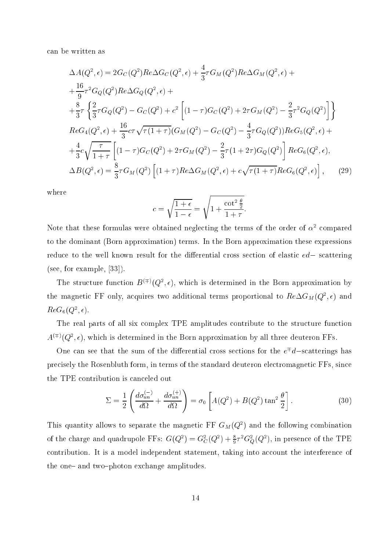an be written as

$$
\Delta A(Q^2, \epsilon) = 2G_C(Q^2)Re\Delta G_C(Q^2, \epsilon) + \frac{4}{3}\tau G_M(Q^2)Re\Delta G_M(Q^2, \epsilon) +
$$
  
\n
$$
+ \frac{16}{9}\tau^2 G_Q(Q^2)Re\Delta G_Q(Q^2, \epsilon) +
$$
  
\n
$$
+ \frac{8}{3}\tau \left\{ \frac{2}{3}\tau G_Q(Q^2) - G_C(Q^2) + c^2 \left[ (1 - \tau)G_C(Q^2) + 2\tau G_M(Q^2) - \frac{2}{3}\tau^2 G_Q(Q^2) \right] \right\}
$$
  
\n
$$
ReG_4(Q^2, \epsilon) + \frac{16}{3}c\tau \sqrt{\tau (1 + \tau)} (G_M(Q^2) - G_C(Q^2) - \frac{4}{3}\tau G_Q(Q^2))ReG_5(Q^2, \epsilon) +
$$
  
\n
$$
+ \frac{4}{3}c\sqrt{\frac{\tau}{1 + \tau}} \left[ (1 - \tau)G_C(Q^2) + 2\tau G_M(Q^2) - \frac{2}{3}\tau (1 + 2\tau)G_Q(Q^2) \right]ReG_6(Q^2, \epsilon),
$$
  
\n
$$
\Delta B(Q^2, \epsilon) = \frac{8}{3}\tau G_M(Q^2) \left[ (1 + \tau)Re\Delta G_M(Q^2, \epsilon) + c\sqrt{\tau (1 + \tau)}ReG_6(Q^2, \epsilon) \right],
$$
 (29)

where

$$
c = \sqrt{\frac{1+\epsilon}{1-\epsilon}} = \sqrt{1 + \frac{\cot^2 \frac{\theta}{2}}{1+\tau}}.
$$

Note that these formulas were obtained neglecting the terms of the order of  $\alpha^-$  compared to the dominant (Born approximation) terms. In the Born approximation these expressions reduce to the well known result for the differential cross section of elastic  $ed-$  scattering (see, for example,  $[33]$ ).

The structure function  $D^{(1)}(Q^2, \epsilon)$ , which is determined in the Born approximation by the magnetic  $\mathbf r$  only, acquires two additional terms proportional to  $\mathit{ne}\Delta G_M(Q^2,\epsilon)$  and  $R$ *E*G( $Q$ ,  $\epsilon$ ).

The real parts of all six complex TPE amplitudes contribute to the structure function  $A^{\vee}$  (Q=,  $\epsilon$ ), which is determined in the Born approximation by all three deuteron FFs.

One can see that the sum of the differential cross sections for the  $e^+a$ —scatterings has precisely the Rosenbluth form, in terms of the standard deuteron electromagnetic FFs, since the TPE ontribution is an
eled out

$$
\Sigma = \frac{1}{2} \left( \frac{d\sigma_{un}^{(-)}}{d\Omega} + \frac{d\sigma_{un}^{(+)}}{d\Omega} \right) = \sigma_0 \left[ A(Q^2) + B(Q^2) \tan^2 \frac{\theta}{2} \right].
$$
 (30)

This quantity allows to separate the magnetic  $\mathbf{r} \mathbf{r}$  G<sub>M</sub>( $Q^2$ ) and the following combination of the charge and quadrupole FFs:  $G(Q^+) = G_C^-(Q^+) + \frac{1}{9}\tau^+G_Q^-(Q^+)$ , in presence of the TPE contribution. It is a model independent statement, taking into account the interference of the one- and two-photon exchange amplitudes.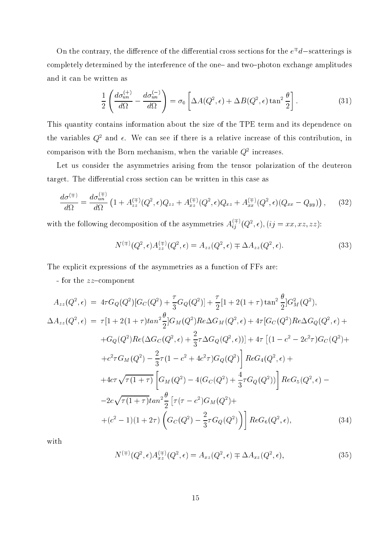On the contrary, the difference of the differential cross sections for the  $e^+a$  —scatterings is completely determined by the interference of the one- and two-photon exchange amplitudes and it an be written as

$$
\frac{1}{2} \left( \frac{d\sigma_{un}^{(+)}}{d\Omega} - \frac{d\sigma_{un}^{(-)}}{d\Omega} \right) = \sigma_0 \left[ \Delta A(Q^2, \epsilon) + \Delta B(Q^2, \epsilon) \tan^2 \frac{\theta}{2} \right].
$$
\n(31)

This quantity ontains information about the size of the TPE term and its dependen
e on the variables  $Q^2$  and  $\epsilon$ . We can see if there is a relative increase of this contribution, in comparison with the Dorn mechanism, when the variable Q2 increases.

Let us consider the asymmetries arising from the tensor polarization of the deuteron target. The differential cross section can be written in this case as

$$
\frac{d\sigma^{(\mp)}}{d\Omega} = \frac{d\sigma_{un}^{(\mp)}}{d\Omega} \left( 1 + A_{zz}^{(\mp)}(Q^2, \epsilon) Q_{zz} + A_{xz}^{(\mp)}(Q^2, \epsilon) Q_{xz} + A_{xx}^{(\mp)}(Q^2, \epsilon) (Q_{xx} - Q_{yy}) \right), \tag{32}
$$

with the following decomposition of the asymmetries  $A_{ij}^{i,j'}(Q^2,\epsilon),(ij=xx,xz,zz)$ :

$$
N^{(\mp)}(Q^2, \epsilon) A_{zz}^{(\mp)}(Q^2, \epsilon) = A_{zz}(Q^2, \epsilon) \mp \Delta A_{zz}(Q^2, \epsilon).
$$
 (33)

The explicit expressions of the asymmetries as a function of FFs are:

- for the  $zz$ -component

$$
A_{zz}(Q^2, \epsilon) = 4\tau G_Q(Q^2)[G_C(Q^2) + \frac{\tau}{3}G_Q(Q^2)] + \frac{\tau}{2}[1 + 2(1 + \tau)\tan^2\frac{\theta}{2}]G_M^2(Q^2),
$$
  
\n
$$
\Delta A_{zz}(Q^2, \epsilon) = \tau[1 + 2(1 + \tau)\tan^2\frac{\theta}{2}]G_M(Q^2)Re\Delta G_M(Q^2, \epsilon) + 4\tau[G_C(Q^2)Re\Delta G_Q(Q^2, \epsilon) +
$$
  
\n
$$
+G_Q(Q^2)Re(\Delta G_C(Q^2, \epsilon) + \frac{2}{3}\tau\Delta G_Q(Q^2, \epsilon))] + 4\tau[(1 - c^2 - 2c^2\tau)G_C(Q^2) +
$$
  
\n
$$
+c^2\tau G_M(Q^2) - \frac{2}{3}\tau(1 - c^2 + 4c^2\tau)G_Q(Q^2)]ReG_4(Q^2, \epsilon) +
$$
  
\n
$$
+4c\tau\sqrt{\tau(1 + \tau)}\left[G_M(Q^2) - 4(G_C(Q^2) + \frac{4}{3}\tau G_Q(Q^2))\right]ReG_5(Q^2, \epsilon) -
$$
  
\n
$$
-2c\sqrt{\tau(1 + \tau)}\tan^2\frac{\theta}{2}\left[\tau(\tau - c^2)G_M(Q^2) +
$$
  
\n
$$
+ (c^2 - 1)(1 + 2\tau)\left(G_C(Q^2) - \frac{2}{3}\tau G_Q(Q^2)\right)\right]ReG_6(Q^2, \epsilon),
$$
  
\n(34)

with

$$
N^{(\mp)}(Q^2, \epsilon) A_{xz}^{(\mp)}(Q^2, \epsilon) = A_{xz}(Q^2, \epsilon) \mp \Delta A_{xz}(Q^2, \epsilon), \tag{35}
$$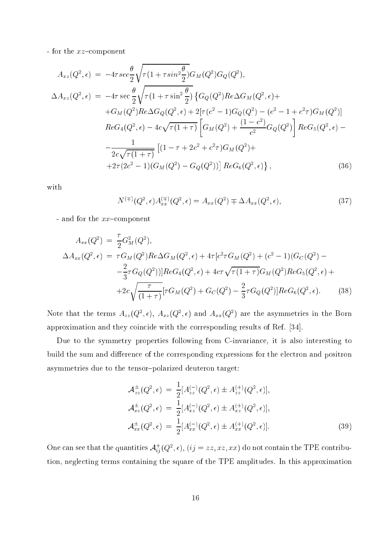- for the  $xz$ -component

$$
A_{xz}(Q^2, \epsilon) = -4\tau \sec \frac{\theta}{2} \sqrt{\tau (1 + \tau \sin^2 \frac{\theta}{2})} G_M(Q^2) G_Q(Q^2),
$$
  
\n
$$
\Delta A_{xz}(Q^2, \epsilon) = -4\tau \sec \frac{\theta}{2} \sqrt{\tau (1 + \tau \sin^2 \frac{\theta}{2})} \{ G_Q(Q^2) Re \Delta G_M(Q^2, \epsilon) +
$$
  
\n
$$
+ G_M(Q^2) Re \Delta G_Q(Q^2, \epsilon) + 2[\tau (c^2 - 1) G_Q(Q^2) - (c^2 - 1 + c^2 \tau) G_M(Q^2)]
$$
  
\n
$$
Re G_4(Q^2, \epsilon) - 4c \sqrt{\tau (1 + \tau)} \left[ G_M(Q^2) + \frac{(1 - c^2)}{c^2} G_Q(Q^2) \right] Re G_5(Q^2, \epsilon) -
$$
  
\n
$$
- \frac{1}{2c \sqrt{\tau (1 + \tau)}} \left[ (1 - \tau + 2c^2 + c^2 \tau) G_M(Q^2) +
$$
  
\n
$$
+ 2\tau (2c^2 - 1) (G_M(Q^2) - G_Q(Q^2)) \right] Re G_6(Q^2, \epsilon) \},
$$
\n(36)

with

$$
N^{(\mp)}(Q^2, \epsilon) A_{xx}^{(\mp)}(Q^2, \epsilon) = A_{xx}(Q^2) \mp \Delta A_{xx}(Q^2, \epsilon), \tag{37}
$$

- and for the  $xx$ -component

$$
A_{xx}(Q^2) = \frac{\tau}{2} G_M^2(Q^2),
$$
  
\n
$$
\Delta A_{xx}(Q^2, \epsilon) = \tau G_M(Q^2) Re \Delta G_M(Q^2, \epsilon) + 4\tau [c^2 \tau G_M(Q^2) + (c^2 - 1)(G_C(Q^2) - \frac{2}{3} \tau G_Q(Q^2))] Re G_4(Q^2, \epsilon) + 4c\tau \sqrt{\tau (1 + \tau)} G_M(Q^2) Re G_5(Q^2, \epsilon) + 4c\tau \sqrt{\frac{\tau}{(1 + \tau)}} [\tau G_M(Q^2) + G_C(Q^2) - \frac{2}{3} \tau G_Q(Q^2)] Re G_6(Q^2, \epsilon).
$$
\n(38)

Note that the terms  $A_{zz}(\mathcal{Q}_\perp,\epsilon),\ A_{xz}(\mathcal{Q}_\perp,\epsilon)$  and  $A_{xx}(\mathcal{Q}_\perp)$  are the asymmetries in the Born approximation and they coincide with the corresponding results of Ref. [34].

Due to the symmetry properties following from C-invarian
e, it is also interesting to build the sum and difference of the corresponding expressions for the electron and positron asymmetries due to the tensor-polarized deuteron target:

$$
\mathcal{A}_{zz}^{\pm}(Q^2, \epsilon) = \frac{1}{2} [A_{zz}^{(-)}(Q^2, \epsilon) \pm A_{zz}^{(+)}(Q^2, \epsilon)],
$$
\n
$$
\mathcal{A}_{xz}^{\pm}(Q^2, \epsilon) = \frac{1}{2} [A_{xz}^{(-)}(Q^2, \epsilon) \pm A_{xz}^{(+)}(Q^2, \epsilon)],
$$
\n
$$
\mathcal{A}_{xx}^{\pm}(Q^2, \epsilon) = \frac{1}{2} [A_{xx}^{(-)}(Q^2, \epsilon) \pm A_{xx}^{(+)}(Q^2, \epsilon)].
$$
\n(39)

One can see that the quantities  $\mathcal{A}_{ii}^{\perp}(Q^\ast,\epsilon),\,(ij=zz,xz,xx)$  do not contain the TPE contribution, negle
ting terms ontaining the square of the TPE amplitudes. In this approximation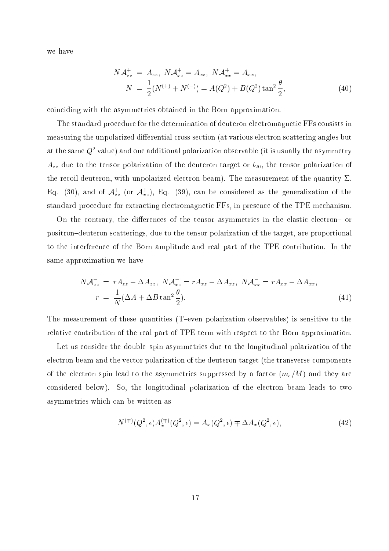we have

$$
N\mathcal{A}_{zz}^+ = A_{zz}, N\mathcal{A}_{xz}^+ = A_{xz}, N\mathcal{A}_{xx}^+ = A_{xx},
$$
  
\n
$$
N = \frac{1}{2}(N^{(+)} + N^{(-)}) = A(Q^2) + B(Q^2) \tan^2 \frac{\theta}{2},
$$
\n(40)

oin
iding with the asymmetries obtained in the Born approximation.

The standard pro
edure for the determination of deuteron ele
tromagneti FFs onsists in measuring the unpolarized differential cross section (at various electron scattering angles but at the same Q2 value) and one additional polarization observable (it is usually the asymmetry  $A_{zz}$  due to the tensor polarization of the deuteron target or  $t_{20}$ , the tensor polarization of the recoil deuteron, with unpolarized electron beam). The measurement of the quantity  $\Sigma$ , Eq. (30), and of  $\mathcal{A}_{zz}$  (or  $\mathcal{A}_{xz}$ ), Eq. (39), can be considered as the generalization of the standard procedure for extracting electromagnetic FFs, in presence of the TPE mechanism.

On the contrary, the differences of the tensor asymmetries in the elastic electron- or positron-deuteron scatterings, due to the tensor polarization of the target, are proportional to the interferen
e of the Born amplitude and real part of the TPE ontribution. In the same approximation we have

$$
N\mathcal{A}_{zz}^- = rA_{zz} - \Delta A_{zz}, \ N\mathcal{A}_{xz}^- = rA_{xz} - \Delta A_{xz}, \ N\mathcal{A}_{xx}^- = rA_{xx} - \Delta A_{xx},
$$
  
\n
$$
r = \frac{1}{N}(\Delta A + \Delta B \tan^2 \frac{\theta}{2}).
$$
\n(41)

The measurement of these quantities  $(T$ -even polarization observables) is sensitive to the relative contribution of the real part of TPE term with respect to the Born approximation.

Let us consider the double-spin asymmetries due to the longitudinal polarization of the ele
tron beam and the ve
tor polarization of the deuteron target (the transverse omponents of the electron spin lead to the asymmetries suppressed by a factor  $(m_e/M)$  and they are considered below). So, the longitudinal polarization of the electron beam leads to two asymmetries whi
h an be written as

$$
N^{(\mp)}(Q^2, \epsilon)A_x^{(\mp)}(Q^2, \epsilon) = A_x(Q^2, \epsilon) \mp \Delta A_x(Q^2, \epsilon), \qquad (42)
$$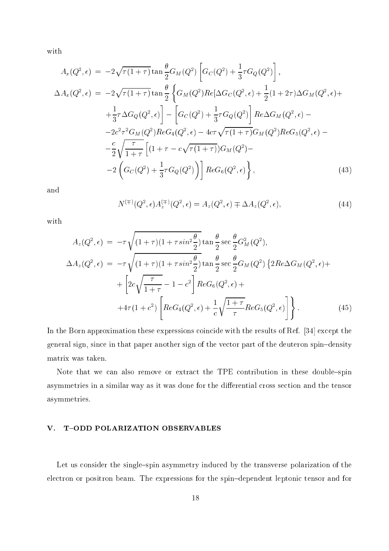with

$$
A_x(Q^2, \epsilon) = -2\sqrt{\tau(1+\tau)} \tan \frac{\theta}{2} G_M(Q^2) \left[ G_C(Q^2) + \frac{1}{3}\tau G_Q(Q^2) \right],
$$
  
\n
$$
\Delta A_x(Q^2, \epsilon) = -2\sqrt{\tau(1+\tau)} \tan \frac{\theta}{2} \left\{ G_M(Q^2) Re[\Delta G_C(Q^2, \epsilon) + \frac{1}{2}(1+2\tau)\Delta G_M(Q^2, \epsilon) + \frac{1}{3}\tau \Delta G_Q(Q^2, \epsilon) \right\} - \left[ G_C(Q^2) + \frac{1}{3}\tau G_Q(Q^2) \right] Re\Delta G_M(Q^2, \epsilon) -
$$
  
\n
$$
-2c^2\tau^2 G_M(Q^2) ReG_4(Q^2, \epsilon) - 4c\tau \sqrt{\tau(1+\tau)} G_M(Q^2) ReG_5(Q^2, \epsilon) - \frac{c}{2} \sqrt{\frac{\tau}{1+\tau}} \left[ (1+\tau - c\sqrt{\tau(1+\tau)}) G_M(Q^2) - \frac{c}{2} \left( G_C(Q^2) + \frac{1}{3}\tau G_Q(Q^2) \right) \right] ReG_6(Q^2, \epsilon) \right\},
$$
\n(43)

and

$$
N^{(\mp)}(Q^2, \epsilon)A_z^{(\mp)}(Q^2, \epsilon) = A_z(Q^2, \epsilon) \mp \Delta A_z(Q^2, \epsilon), \tag{44}
$$

with

$$
A_z(Q^2, \epsilon) = -\tau \sqrt{(1+\tau)(1+\tau sin^2 \frac{\theta}{2})} \tan \frac{\theta}{2} \sec \frac{\theta}{2} G_M^2(Q^2),
$$
  
\n
$$
\Delta A_z(Q^2, \epsilon) = -\tau \sqrt{(1+\tau)(1+\tau sin^2 \frac{\theta}{2})} \tan \frac{\theta}{2} \sec \frac{\theta}{2} G_M(Q^2) \{2Re \Delta G_M(Q^2, \epsilon) +
$$
  
\n
$$
+ \left[2c\sqrt{\frac{\tau}{1+\tau}} - 1 - c^2\right] Re G_6(Q^2, \epsilon) +
$$
  
\n
$$
+4\tau (1+c^2) \left[Re G_4(Q^2, \epsilon) + \frac{1}{c} \sqrt{\frac{1+\tau}{\tau}} Re G_5(Q^2, \epsilon) \right].
$$
\n(45)

In the Born approximation these expressions coincide with the results of Ref. [34] except the general sign, since in that paper another sign of the vector part of the deuteron spin-density matrix was taken.

Note that we can also remove or extract the TPE contribution in these double-spin asymmetries in a similar way as it was done for the differential cross section and the tensor asymmetries.

## V. T-ODD POLARIZATION OBSERVABLES

Let us consider the single-spin asymmetry induced by the transverse polarization of the electron or positron beam. The expressions for the spin-dependent leptonic tensor and for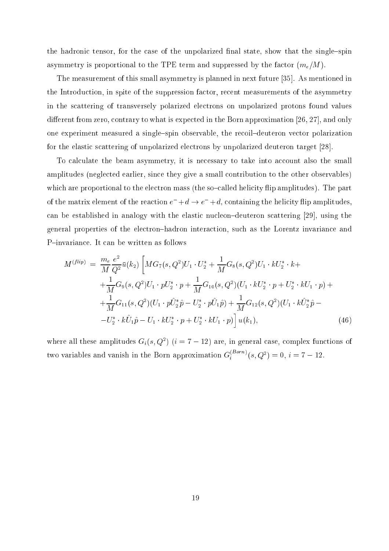the hadronic tensor, for the case of the unpolarized final state, show that the single-spin asymmetry is proportional to the TPE term and suppressed by the factor  $(m_e/M)$ .

The measurement of this small asymmetry is planned in next future  $[35]$ . As mentioned in the Introduction, in spite of the suppression factor, recent measurements of the asymmetry in the s
attering of transversely polarized ele
trons on unpolarized protons found values different from zero, contrary to what is expected in the Born approximation [26, 27], and only one experiment measured a single-spin observable, the recoil-deuteron vector polarization for the elastic scattering of unpolarized electrons by unpolarized deuteron target [28].

To calculate the beam asymmetry, it is necessary to take into account also the small amplitudes (neglected earlier, since they give a small contribution to the other observables) which are proportional to the electron mass (the so-called helicity flip amplitudes). The part of the matrix element of the reaction  $e^- + d \rightarrow e^- + d$ , containing the helicity flip amplitudes, can be established in analogy with the elastic nucleon-deuteron scattering  $[29]$ , using the general properties of the ele
tron{hadron intera
tion, su
h as the Lorentz invarian
e and P-invariance. It can be written as follows

$$
M^{(flip)} = \frac{m_e}{M} \frac{e^2}{Q^2} \bar{u}(k_2) \left[ MG_7(s, Q^2) U_1 \cdot U_2^* + \frac{1}{M} G_8(s, Q^2) U_1 \cdot k U_2^* \cdot k + \frac{1}{M} G_9(s, Q^2) U_1 \cdot p U_2^* \cdot p + \frac{1}{M} G_{10}(s, Q^2) (U_1 \cdot k U_2^* \cdot p + U_2^* \cdot k U_1 \cdot p) + \frac{1}{M} G_{11}(s, Q^2) (U_1 \cdot p \hat{U}_2^* \hat{p} - U_2^* \cdot p \hat{U}_1 \hat{p}) + \frac{1}{M} G_{12}(s, Q^2) (U_1 \cdot k \hat{U}_2^* \hat{p} - U_2^* \cdot k \hat{U}_1 \hat{p} - U_1 \cdot k U_2^* \cdot p + U_2^* \cdot k U_1 \cdot p) \right] u(k_1), \tag{46}
$$

where all these amplitudes  $G_i(s,Q^+)$  ( $i = i - 12$ ) are, in general case, complex functions of two variables and vanish in the Born approximation  $G_i^{(1)}$  and  $(g, Q^2) = 0, i = 7 - 12$ .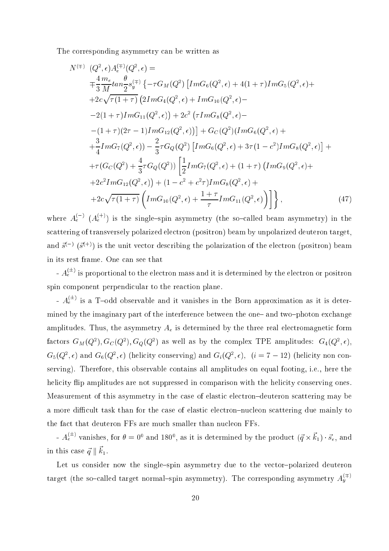The orresponding asymmetry an be written as

 $\mathcal{L}^{\text{max}}$ 

$$
N^{(\mp)} (Q^2, \epsilon) A_{\epsilon}^{(\mp)}(Q^2, \epsilon) =
$$
  
\n
$$
\mp \frac{4}{3} \frac{m_e}{M} \tan \frac{\theta}{2} s_y^{(\mp)} \{-\tau G_M(Q^2) [Im G_6(Q^2, \epsilon) + 4(1 + \tau) Im G_5(Q^2, \epsilon) +
$$
  
\n
$$
+ 2c \sqrt{\tau (1 + \tau)} (2Im G_4(Q^2, \epsilon) + Im G_{10}(Q^2, \epsilon) -
$$
  
\n
$$
-2(1 + \tau) Im G_{11}(Q^2, \epsilon)) + 2c^2 (\tau Im G_8(Q^2, \epsilon) -
$$
  
\n
$$
-(1 + \tau) (2\tau - 1) Im G_{12}(Q^2, \epsilon)) ] + G_C(Q^2) (Im G_6(Q^2, \epsilon) +
$$
  
\n
$$
+ \frac{3}{4} Im G_7(Q^2, \epsilon)) - \frac{2}{3} \tau G_Q(Q^2) [Im G_6(Q^2, \epsilon) + 3\tau (1 - c^2) Im G_8(Q^2, \epsilon)] +
$$
  
\n
$$
+ \tau (G_C(Q^2) + \frac{4}{3} \tau G_Q(Q^2)) \left[ \frac{1}{2} Im G_7(Q^2, \epsilon) + (1 + \tau) (Im G_9(Q^2, \epsilon) +
$$
  
\n
$$
+ 2c^2 Im G_{12}(Q^2, \epsilon)) + (1 - c^2 + c^2 \tau) Im G_8(Q^2, \epsilon) +
$$
  
\n
$$
+ 2c \sqrt{\tau (1 + \tau)} (Im G_{10}(Q^2, \epsilon) + \frac{1 + \tau}{\tau} Im G_{11}(Q^2, \epsilon)) \right] \},
$$
\n(47)

where  $A_e^s$  ( $A_e^{s}$ ) is the single-spin asymmetry (the so-called beam asymmetry) in the scattering of transversely polarized electron (positron) beam by unpolarized deuteron target, and  $s \hookrightarrow (s \hookrightarrow)$  is the unit vector describing the polarization of the electron (positron) beam in its rest frame. One an see that

-  $A_e^{\circ}$  's proportional to the electron mass and it is determined by the electron or positron spin component perpendicular to the reaction plane.

-  $A_e^{\circ}$  is a T-odd observable and it vanishes in the Born approximation as it is determined by the imaginary part of the interference between the one- and two-photon exchange amplitudes. Thus, the asymmetry  $A_e$  is determined by the three real electromagnetic form factors  $G_M(Q^-), G_C(Q^-), G_Q(Q^-)$  as well as by the complex TPE amplitudes:  $G_4(Q^-,\epsilon),$  $G_5(Q^-, \epsilon)$  and  $G_6(Q^-, \epsilon)$  (neucity conserving) and  $G_i(Q^-, \epsilon)$ ,  $(i = i - 12)$  (neucity non conserving). Therefore, this observable contains all amplitudes on equal footing, i.e., here the helicity flip amplitudes are not suppressed in comparison with the helicity conserving ones. Measurement of this asymmetry in the case of elastic electron-deuteron scattering may be a more difficult task than for the case of elastic electron-nucleon scattering due mainly to the fact that deuteron FFs are much smaller than nucleon FFs.

-  $A_e^{(-)}$  vanishes, for  $\theta = 0^{\circ}$  and  $180^{\circ}$ , as it is determined by the product  $(q \times k_1) \cdot s_e$ , and in this case  $q \parallel n_1$ .

Let us consider now the single-spin asymmetry due to the vector-polarized deuteron target (the so-called target normal-spin asymmetry). The corresponding asymmetry  $A_{\theta}^{\gamma,\gamma}$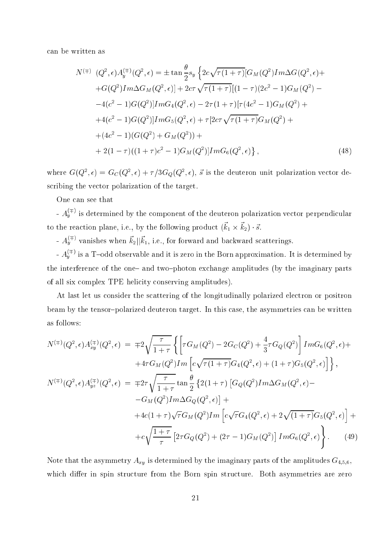an be written as

$$
N^{(\mp)} (Q^2, \epsilon) A_y^{(\mp)}(Q^2, \epsilon) = \pm \tan \frac{\theta}{2} s_y \left\{ 2c\sqrt{\tau (1+\tau)} [G_M(Q^2) Im\Delta G(Q^2, \epsilon) +
$$
  
\n
$$
+ G(Q^2) Im\Delta G_M(Q^2, \epsilon)] + 2c\tau \sqrt{\tau (1+\tau)} [(1-\tau)(2c^2 - 1)G_M(Q^2) -
$$
  
\n
$$
-4(c^2 - 1)G(Q^2)] Im G_4(Q^2, \epsilon) - 2\tau (1+\tau) [\tau (4c^2 - 1)G_M(Q^2) +
$$
  
\n
$$
+ 4(c^2 - 1)G(Q^2)] Im G_5(Q^2, \epsilon) + \tau [2c\tau \sqrt{\tau (1+\tau)} G_M(Q^2) +
$$
  
\n
$$
+ (4c^2 - 1)(G(Q^2) + G_M(Q^2)) +
$$
  
\n
$$
+ 2(1-\tau)((1+\tau)c^2 - 1)G_M(Q^2)] Im G_6(Q^2, \epsilon) \right\},
$$
  
\n(48)

where  $G(Q^*, \epsilon) = G_C(Q^*, \epsilon) + \frac{\gamma}{2}G_Q(Q^*, \epsilon)$ , s is the deuteron unit polarization vector describing the vector polarization of the target.

One an see that

-  $A_{\mu}^{\gamma}$  's determined by the component of the deuteron polarization vector perpendicular to the reaction plane, i.e., by the following product  $(n_1 \wedge n_2) \cdot s$ .

-  $A_{\mathcal{U}}^{n \times n}$  vanishes when  $k_2 || k_1$ , i.e., for forward and backward scatterings.

-  $A_{\mathcal{U}}^{\chi,\vee}$  is a T-odd observable and it is zero in the Born approximation. It is determined by the interference of the one- and two-photon exchange amplitudes (by the imaginary parts of all six omplex TPE heli
ity onserving amplitudes).

At last let us consider the scattering of the longitudinally polarized electron or positron beam by the tensor-polarized deuteron target. In this case, the asymmetries can be written as follows:

$$
N^{(\mp)}(Q^{2}, \epsilon)A_{xy}^{(\mp)}(Q^{2}, \epsilon) = \mp 2\sqrt{\frac{\tau}{1+\tau}} \left\{ \left[ \tau G_{M}(Q^{2}) - 2G_{C}(Q^{2}) + \frac{4}{3}\tau G_{Q}(Q^{2}) \right] Im G_{6}(Q^{2}, \epsilon) + 4\tau G_{M}(Q^{2}) Im \left[ c\sqrt{\tau(1+\tau)}G_{4}(Q^{2}, \epsilon) + (1+\tau)G_{5}(Q^{2}, \epsilon) \right] \right\},
$$
  
\n
$$
N^{(\mp)}(Q^{2}, \epsilon)A_{yz}^{(\mp)}(Q^{2}, \epsilon) = \mp 2\tau \sqrt{\frac{\tau}{1+\tau}} \tan \frac{\theta}{2} \left\{ 2(1+\tau) \left[ G_{Q}(Q^{2}) Im \Delta G_{M}(Q^{2}, \epsilon) - G_{M}(Q^{2}) Im \Delta G_{Q}(Q^{2}, \epsilon) \right] + 4c(1+\tau)\sqrt{\tau}G_{M}(Q^{2}) Im \left[ c\sqrt{\tau}G_{4}(Q^{2}, \epsilon) + 2\sqrt{(1+\tau)}G_{5}(Q^{2}, \epsilon) \right] + c\sqrt{\frac{1+\tau}{\tau}} \left[ 2\tau G_{Q}(Q^{2}) + (2\tau - 1)G_{M}(Q^{2}) \right] Im G_{6}(Q^{2}, \epsilon) \right\}.
$$
 (49)

Note that the asymmetry  $A_{xy}$  is determined by the imaginary parts of the amplitudes  $G_{4,5,6}$ , which differ in spin structure from the Born spin structure. Both asymmetries are zero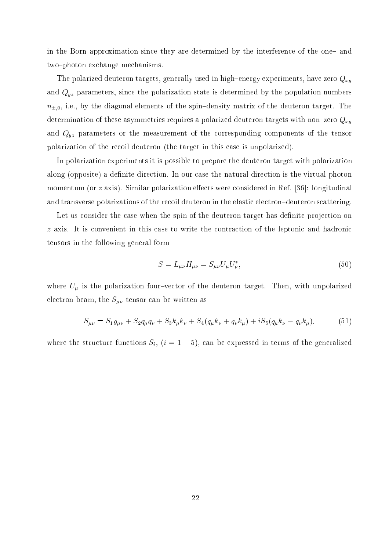in the Born approximation since they are determined by the interference of the one- and two-photon exchange mechanisms.

The polarized deuteron targets, generally used in high-energy experiments, have zero  $Q_{xy}$ and  $Q_{yz}$  parameters, since the polarization state is determined by the population numbers  $n_{\pm,0}$ , i.e., by the diagonal elements of the spin-density matrix of the deuteron target. The determination of these asymmetries requires a polarized deuteron targets with non-zero  $Q_{xy}$ and  $Q_{yz}$  parameters or the measurement of the corresponding components of the tensor polarization of the re
oil deuteron (the target in this ase is unpolarized).

In polarization experiments it is possible to prepare the deuteron target with polarization along (opposite) a definite direction. In our case the natural direction is the virtual photon momentum (or  $z$  axis). Similar polarization effects were considered in Ref. [36]: longitudinal and transverse polarizations of the recoil deuteron in the elastic electron-deuteron scattering.

Let us consider the case when the spin of the deuteron target has definite projection on z axis. It is convenient in this case to write the contraction of the leptonic and hadronic tensors in the following general form

$$
S = L_{\mu\nu} H_{\mu\nu} = S_{\mu\nu} U_{\mu} U_{\nu}^*,
$$
\n(50)

where  $U_{\mu}$  is the polarization four-vector of the deuteron target. Then, with unpolarized electron beam, the  $S_{\mu\nu}$  tensor can be written as

$$
S_{\mu\nu} = S_1 g_{\mu\nu} + S_2 q_{\mu} q_{\nu} + S_3 k_{\mu} k_{\nu} + S_4 (q_{\mu} k_{\nu} + q_{\nu} k_{\mu}) + i S_5 (q_{\mu} k_{\nu} - q_{\nu} k_{\mu}), \tag{51}
$$

where the structure functions  $S_i$ ,  $(i = 1 - 5)$ , can be expressed in terms of the generalized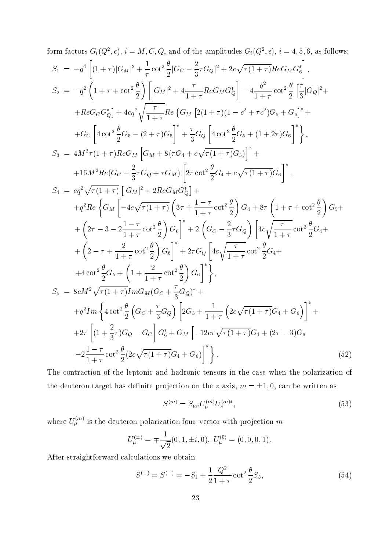form factors 
$$
G_i(Q^2, \epsilon)
$$
,  $i = M, C, Q$ , and of the amplitudes  $G_i(Q^2, \epsilon)$ ,  $i = 4, 5, 6$ , as follows:  
\n
$$
S_1 = -q^4 \left[ (1+\tau) |G_M|^2 + \frac{1}{\tau} \cot^2 \frac{\theta}{2} |G_C - \frac{2}{3}\tau G_Q|^2 + 2c\sqrt{\tau (1+\tau)} Re G_M G_6^* \right],
$$
\n
$$
S_2 = -q^2 \left( 1 + \tau + \cot^2 \frac{\theta}{2} \right) \left[ |G_M|^2 + 4\frac{\tau}{1+\tau} Re G_M G_0^* \right] - 4\frac{q^2}{1+\tau} \cot^2 \frac{\theta}{2} \left[ \frac{\tau}{3} |G_Q|^2 + 4c\sqrt{\tau} \frac{\theta^2}{4} \right] - 4c\sqrt{\tau} \left[ 4c\sqrt{\tau} \frac{\theta^2}{4} \right] - 4c\sqrt{\tau} \left[ 4c\sqrt{\tau} \frac{\theta^2}{4} \right] - 4c\sqrt{\tau} \left[ 4c\sqrt{\tau} \frac{\theta^2}{4} \right] - 4c\sqrt{\tau} \left[ 4c\sqrt{\tau} \frac{\theta^2}{4} \right] - 4c\sqrt{\tau} \left[ 4c\sqrt{\tau} \frac{\theta^2}{4} \right] - 4c\sqrt{\tau} \left[ 4c\sqrt{\tau} \frac{\theta^2}{4} \right] - 4c\sqrt{\tau} \left[ 4c\sqrt{\tau} \frac{\theta^2}{4} \right] - 4c\sqrt{\tau} \left[ 4c\sqrt{\tau} \frac{\theta^2}{4} \right] + c\sqrt{\tau} \left[ 4c\sqrt{\tau} \frac{\theta^2}{4} \right] - 4c\sqrt{\tau} \left[ 4c\sqrt{\tau} \frac{\theta^2}{4} \right] - 4c\sqrt{\tau} \left[ 4c\sqrt{\tau} \frac{\theta^2}{4} \right] - 4c\sqrt{\tau} \left[ 4c\sqrt{\tau} \frac{\theta^2}{4} \right] - 4c\sqrt{\tau} \left[ 4c\sqrt{\tau} \frac{\theta^2}{4} \right] + c\sqrt{\tau} \left[ 4c\sqrt{\tau} \frac{\theta^2}{4} \right] + c\sqrt{\tau} \left[ 4c\sqrt{\tau} \frac{\theta^2}{4} \right] - 4c
$$

The contraction of the leptonic and hadronic tensors in the case when the polarization of the deuteron target has definite projection on the z axis,  $m = \pm 1, 0$ , can be written as

$$
S^{(m)} = S_{\mu\nu} U_{\mu}^{(m)} U_{\nu}^{(m)*},\tag{53}
$$

where  $U_u^{\dagger}$  's the deuteron polarization four-vector with projection m

$$
U_{\mu}^{(\pm)} = \mp \frac{1}{\sqrt{2}}(0, 1, \pm i, 0), \ U_{\mu}^{(0)} = (0, 0, 0, 1).
$$

After straightforward calculations we obtain

$$
S^{(+)} = S^{(-)} = -S_1 + \frac{1}{2} \frac{Q^2}{1+\tau} \cot^2 \frac{\theta}{2} S_3,
$$
\n(54)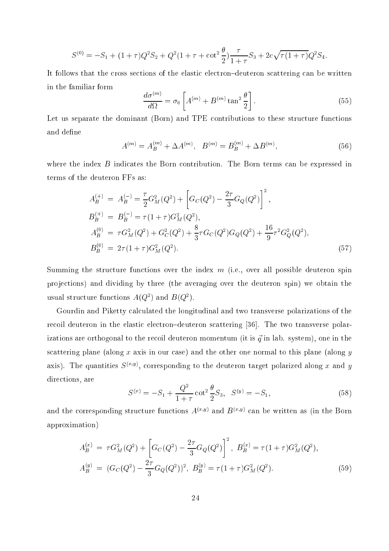$$
S^{(0)} = -S_1 + (1+\tau)Q^2S_2 + Q^2(1+\tau+\cot^2\frac{\theta}{2})\frac{\tau}{1+\tau}S_3 + 2c\sqrt{\tau(1+\tau)}Q^2S_4.
$$

It follows that the cross sections of the elastic electron-deuteron scattering can be written in the familiar form

$$
\frac{d\sigma^{(m)}}{d\Omega} = \sigma_0 \left[ A^{(m)} + B^{(m)} \tan^2 \frac{\theta}{2} \right].
$$
\n(55)

Let us separate the dominant (Born) and TPE contributions to these structure functions and define

$$
A^{(m)} = A_B^{(m)} + \Delta A^{(m)}, \quad B^{(m)} = B_B^{(m)} + \Delta B^{(m)}, \tag{56}
$$

where the index  $B$  indicates the Born contribution. The Born terms can be expressed in terms of the deuteron FFs as:

$$
A_B^{(+)} = A_B^{(-)} = \frac{\tau}{2} G_M^2(Q^2) + \left[ G_C(Q^2) - \frac{2\tau}{3} G_Q(Q^2) \right]^2,
$$
  
\n
$$
B_B^{(+)} = B_B^{(-)} = \tau (1 + \tau) G_M^2(Q^2),
$$
  
\n
$$
A_B^{(0)} = \tau G_M^2(Q^2) + G_C^2(Q^2) + \frac{8}{3} \tau G_C(Q^2) G_Q(Q^2) + \frac{16}{9} \tau^2 G_Q^2(Q^2),
$$
  
\n
$$
B_B^{(0)} = 2\tau (1 + \tau) G_M^2(Q^2).
$$
\n(57)

Summing the structure functions over the index  $m$  (i.e., over all possible deuteron spin projections) and dividing by three (the averaging over the deuteron spin) we obtain the usual structure functions  $A(Q)$  and  $D(Q)$ .

Gourdin and Piketty calculated the longitudinal and two transverse polarizations of the recoil deuteron in the elastic electron-deuteron scattering [36]. The two transverse polarizations are orthogonal to the recoil deuteron momentum (it is  $\vec{q}$  in lab. system), one in the scattering plane (along x axis in our case) and the other one normal to this plane (along y axis). The quantities  $S^{(2)}$ , corresponding to the deuteron target polarized along x and  $y$ directions, are

$$
S^{(x)} = -S_1 + \frac{Q^2}{1+\tau} \cot^2 \frac{\theta}{2} S_3, \quad S^{(y)} = -S_1,
$$
\n(58)

and the corresponding structure functions  $A^{\langle \cdot \rangle_{\sigma}}$  and  $B^{\langle \cdot \rangle_{\sigma}}$  can be written as (in the Born approximation)

$$
A_B^{(x)} = \tau G_M^2(Q^2) + \left[ G_C(Q^2) - \frac{2\tau}{3} G_Q(Q^2) \right]^2, B_B^{(x)} = \tau (1 + \tau) G_M^2(Q^2),
$$
  
\n
$$
A_B^{(y)} = (G_C(Q^2) - \frac{2\tau}{3} G_Q(Q^2))^2, B_B^{(y)} = \tau (1 + \tau) G_M^2(Q^2).
$$
\n(59)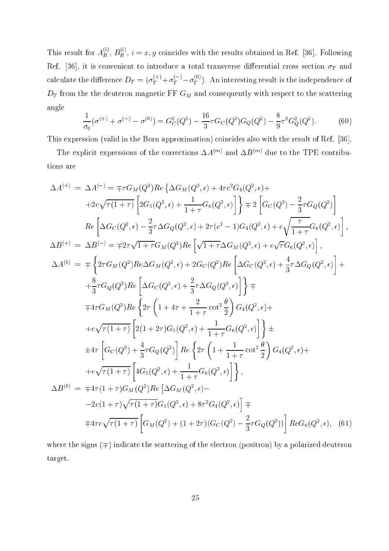This result for  $A_B^{\omega}$ ,  $B_B^{\omega}$ ,  $i=x,y$  coincides with the results obtained in Ref. [36]. Following Ref. [36], it is convenient to introduce a total transverse differential cross section  $\sigma_T$  and calculate the difference  $D_T = (\sigma_T^{++} + \sigma_T^{+-} - \sigma_T^{--})$ . An interesting result is the independence of  $D_T$  from the the deuteron magnetic FF  $G_M$  and consequently with respect to the scattering angle

$$
\frac{1}{\sigma_0}(\sigma^{(+)} + \sigma^{(-)} - \sigma^{(0)}) = G_C^2(Q^2) - \frac{16}{3}\tau G_C(Q^2)G_Q(Q^2) - \frac{8}{9}\tau^2 G_Q^2(Q^2). \tag{60}
$$

This expression (valid in the Born approximation) coincides also with the result of Ref. [36].

The explicit expressions of the corrections  $\Delta A^{(m)}$  and  $\Delta D^{(m)}$  due to the TPE contributions are

$$
\Delta A^{(+)} = \Delta A^{(-)} = \mp \tau G_M(Q^2)Re\{\Delta G_M(Q^2, \epsilon) + 4\tau c^2 G_4(Q^2, \epsilon) +
$$
  
\n
$$
+2c\sqrt{\tau(1+\tau)} \left[2G_5(Q^2, \epsilon) + \frac{1}{1+\tau}G_6(Q^2, \epsilon)\right]\right\} \mp 2 \left[G_C(Q^2) - \frac{2}{3}\tau G_Q(Q^2)\right]
$$
  
\n
$$
Re\left[\Delta G_C(Q^2, \epsilon) - \frac{2}{3}\tau \Delta G_Q(Q^2, \epsilon) + 2\tau (c^2 - 1)G_4(Q^2, \epsilon) + c\sqrt{\frac{\tau}{1+\tau}}G_6(Q^2, \epsilon)\right],
$$
  
\n
$$
\Delta B^{(+)} = \Delta B^{(-)} = \mp 2\tau \sqrt{1+\tau}G_M(Q^2)Re\left[\sqrt{1+\tau}\Delta G_M(Q^2, \epsilon) + c\sqrt{\tau}G_6(Q^2, \epsilon)\right],
$$
  
\n
$$
\Delta A^{(0)} = \mp \left\{2\tau G_M(Q^2)Re\Delta G_M(Q^2, \epsilon) + 2G_C(Q^2)Re\left[\Delta G_C(Q^2, \epsilon) + \frac{4}{3}\tau \Delta G_Q(Q^2, \epsilon)\right]\right\} +
$$
  
\n
$$
+ \frac{8}{3}\tau G_Q(Q^2)Re\left[\Delta G_C(Q^2, \epsilon) + \frac{2}{3}\tau \Delta G_Q(Q^2, \epsilon)\right]\right\} \mp
$$
  
\n
$$
\mp 4\tau G_M(Q^2)Re\left\{2\tau \left(1 + 4\tau + \frac{2}{1+\tau}\cot^2\frac{\theta}{2}\right)G_4(Q^2, \epsilon) +
$$
  
\n
$$
+c\sqrt{\tau(1+\tau)} \left[2(1+2\tau)G_5(Q^2, \epsilon) + \frac{1}{1+\tau}G_6(Q^2, \epsilon)\right]\right\} \pm
$$
  
\n
$$
\pm 4\tau \left[G_C(Q^2) + \frac{4}{3}\tau G_Q(Q^2)\right]Re\left\{2\tau \left(1 + \frac{1}{1+\tau}\cot^2\frac{\theta}{2}\right)G_4(Q^2, \epsilon) +
$$
  
\n
$$
+c\sqrt{\tau(1+\tau)} \left[4G_5(Q^2, \epsilon) + \frac{1
$$

where the signs  $(\pm)$  indicate the scattering of the electron (positron) by a polarized deuteron target.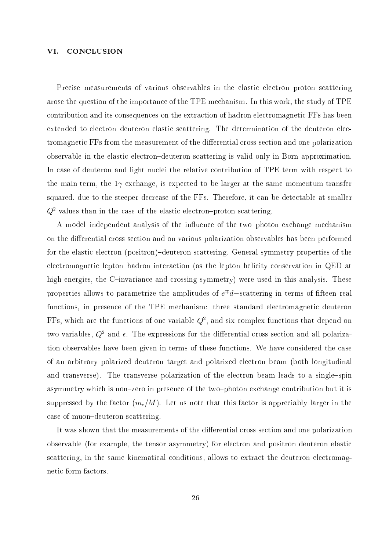#### VI. CONCLUSION

Precise measurements of various observables in the elastic electron-proton scattering arose the question of the importan
e of the TPE me
hanism. In this work, the study of TPE ontribution and its onsequen
es on the extra
tion of hadron ele
tromagneti FFs has been extended to electron-deuteron elastic scattering. The determination of the deuteron electromagnetic FFs from the measurement of the differential cross section and one polarization observable in the elastic electron-deuteron scattering is valid only in Born approximation. In case of deuteron and light nuclei the relative contribution of TPE term with respect to the main term, the  $1\gamma$  exchange, is expected to be larger at the same momentum transfer squared, due to the steeper decrease of the FFs. Therefore, it can be detectable at smaller  $Q^{\text{-}}$  values than in the case of the elastic electron-proton scattering.

A model-independent analysis of the influence of the two-photon exchange mechanism on the differential cross section and on various polarization observables has been performed for the elastic electron (positron)-deuteron scattering. General symmetry properties of the electromagnetic lepton-hadron interaction (as the lepton helicity conservation in QED at high energies, the C-invariance and crossing symmetry) were used in this analysis. These properties allows to parametrize the amplitudes of  $e^+a$ —scattering in terms of inteen real functions, in presence of the TPE mechanism: three standard electromagnetic deuteron  $\mathbf r$  is, which are the functions of one variable  $Q^*$ , and six complex functions that depend on two variables,  $Q^\star$  and  $\epsilon$ . The expressions for the differential cross section and all polarization observables have been given in terms of these functions. We have considered the case of an arbitrary polarized deuteron target and polarized ele
tron beam (both longitudinal and transverse). The transverse polarization of the electron beam leads to a single-spin asymmetry which is non-zero in presence of the two-photon exchange contribution but it is suppressed by the factor  $(m_e/M)$ . Let us note that this factor is appreciably larger in the case of muon-deuteron scattering.

It was shown that the measurements of the differential cross section and one polarization observable (for example, the tensor asymmetry) for ele
tron and positron deuteron elasti scattering, in the same kinematical conditions, allows to extract the deuteron electromagneti form fa
tors.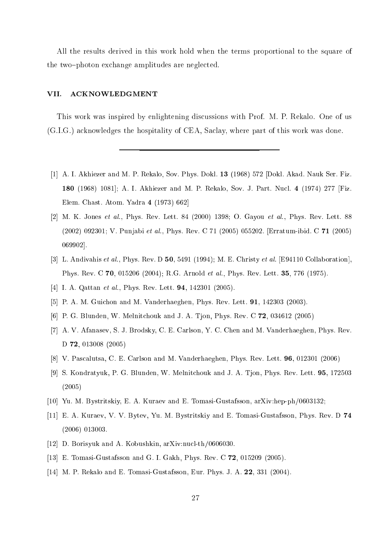All the results derived in this work hold when the terms proportional to the square of the two-photon exchange amplitudes are neglected.

## VII. ACKNOWLEDGMENT

This work was inspired by enlightening discussions with Prof. M. P. Rekalo. One of us (G.I.G.) a
knowledges the hospitality of CEA, Sa
lay, where part of this work was done.

- $[1]$  A. I. Akhiezer and M. P. Rekalo, Sov. Phys. Dokl. 13 (1968) 572 [Dokl. Akad. Nauk Ser. Fiz. 180 (1968) 1081; A. I. Akhiezer and M. P. Rekalo, Sov. J. Part. Nucl. 4 (1974) 277 [Fiz. Elem. Chast. Atom. Yadra  $4$  (1973) 662
- [2] M. K. Jones et al., Phys. Rev. Lett. 84 (2000) 1398; O. Gayou et al., Phys. Rev. Lett. 88 (2002) 092301; V. Punjabi et al., Phys. Rev. C 71 (2005) 055202. [Erratum-ibid. C 71 (2005) 069902].
- [3] L. Andivahis et al., Phys. Rev. D 50, 5491 (1994); M. E. Christy et al. [E94110 Collaboration], Phys. Rev. C 70, 015206 (2004); R.G. Arnold et al., Phys. Rev. Lett. 35, 776 (1975).
- [4] I. A. Qattan *et al.*, Phys. Rev. Lett. **94**, 142301 (2005).
- [5] P. A. M. Guichon and M. Vanderhaeghen, Phys. Rev. Lett. 91, 142303 (2003).
- [6] P. G. Blunden, W. Melnitchouk and J. A. Tjon, Phys. Rev. C 72, 034612 (2005)
- [7] A. V. Afanasev, S. J. Brodsky, C. E. Carlson, Y. C. Chen and M. Vanderhaeghen, Phys. Rev. D 72, 013008 (2005)
- [8] V. Pascalutsa, C. E. Carlson and M. Vanderhaeghen, Phys. Rev. Lett. 96, 012301 (2006)
- [9] S. Kondratyuk, P. G. Blunden, W. Melnitchouk and J. A. Tion, Phys. Rev. Lett. 95, 172503 (2005)
- $[10]$  Yu. M. Bystritskiy, E. A. Kuraev and E. Tomasi-Gustafsson, arXiv:hep-ph/0603132;
- [11] E. A. Kuraev, V. V. Bytev, Yu. M. Bystritskiy and E. Tomasi-Gustafsson, Phys. Rev. D 74 (2006) 013003.
- [12] D. Borisyuk and A. Kobushkin, arXiv:nucl-th/0606030.
- [13] E. Tomasi-Gustafsson and G. I. Gakh, Phys. Rev. C  $72$ , 015209 (2005).
- [14] M. P. Rekalo and E. Tomasi-Gustafsson, Eur. Phys. J. A.  $22$ ,  $331$  (2004).